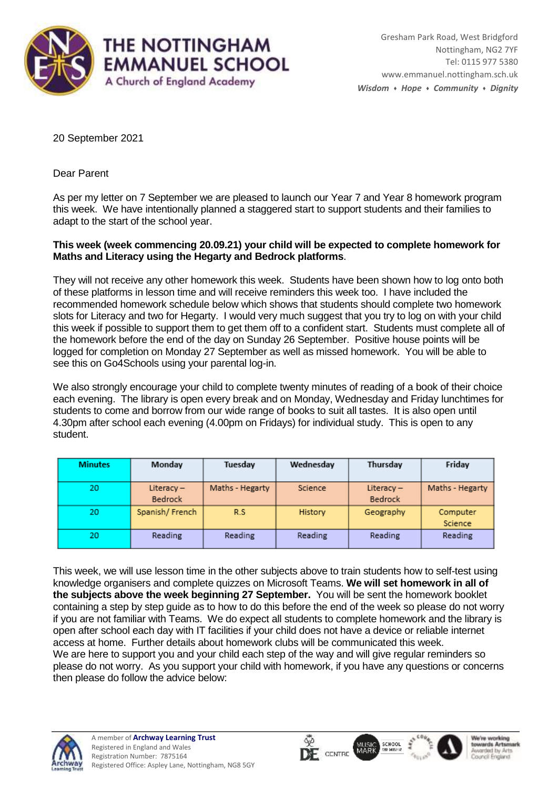

20 September 2021

Dear Parent

As per my letter on 7 September we are pleased to launch our Year 7 and Year 8 homework program this week. We have intentionally planned a staggered start to support students and their families to adapt to the start of the school year.

## **This week (week commencing 20.09.21) your child will be expected to complete homework for Maths and Literacy using the Hegarty and Bedrock platforms**.

They will not receive any other homework this week. Students have been shown how to log onto both of these platforms in lesson time and will receive reminders this week too. I have included the recommended homework schedule below which shows that students should complete two homework slots for Literacy and two for Hegarty. I would very much suggest that you try to log on with your child this week if possible to support them to get them off to a confident start. Students must complete all of the homework before the end of the day on Sunday 26 September. Positive house points will be logged for completion on Monday 27 September as well as missed homework. You will be able to see this on Go4Schools using your parental log-in.

We also strongly encourage your child to complete twenty minutes of reading of a book of their choice each evening. The library is open every break and on Monday, Wednesday and Friday lunchtimes for students to come and borrow from our wide range of books to suit all tastes. It is also open until 4.30pm after school each evening (4.00pm on Fridays) for individual study. This is open to any student.

| <b>Minutes</b> | Monday                         | Tuesday         | Wednesday | Thursday                | Friday              |
|----------------|--------------------------------|-----------------|-----------|-------------------------|---------------------|
| 20             | Literacy $-$<br><b>Bedrock</b> | Maths - Hegarty | Science   | Literacy $-$<br>Bedrock | Maths - Hegarty     |
| 20             | Spanish/French                 | R.S             | History   | Geography               | Computer<br>Science |
| 20             | Reading                        | <b>Reading</b>  | Reading   | Reading                 | Reading             |

This week, we will use lesson time in the other subjects above to train students how to self-test using knowledge organisers and complete quizzes on Microsoft Teams. **We will set homework in all of the subjects above the week beginning 27 September.** You will be sent the homework booklet containing a step by step guide as to how to do this before the end of the week so please do not worry if you are not familiar with Teams. We do expect all students to complete homework and the library is open after school each day with IT facilities if your child does not have a device or reliable internet access at home. Further details about homework clubs will be communicated this week. We are here to support you and your child each step of the way and will give regular reminders so please do not worry. As you support your child with homework, if you have any questions or concerns then please do follow the advice below: